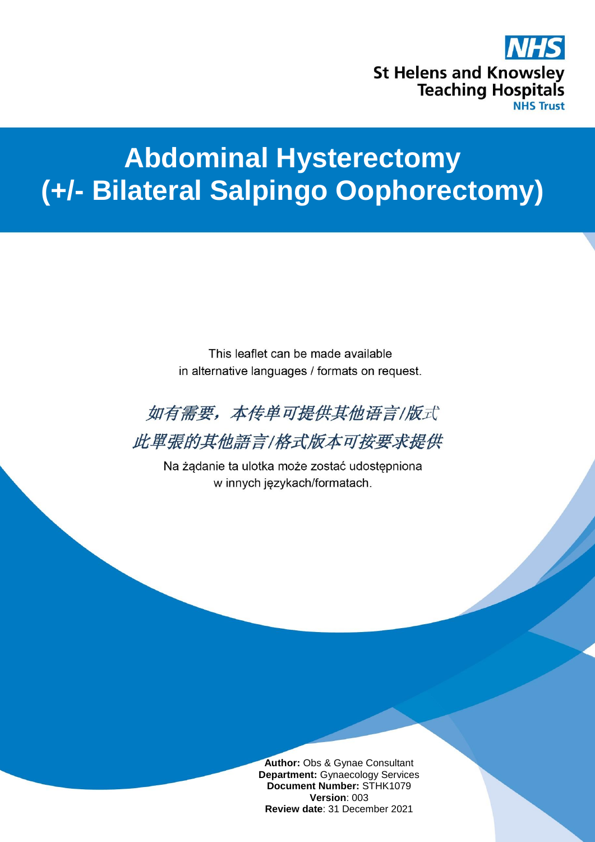

# **Abdominal Hysterectomy (+/- Bilateral Salpingo Oophorectomy)**

This leaflet can be made available in alternative languages / formats on request.



Na żądanie ta ulotka może zostać udostępniona w innych językach/formatach.

> **Author:** Obs & Gynae Consultant **Department:** Gynaecology Services **Document Number:** STHK1079 **Version**: 003 **Review date**: 31 December 2021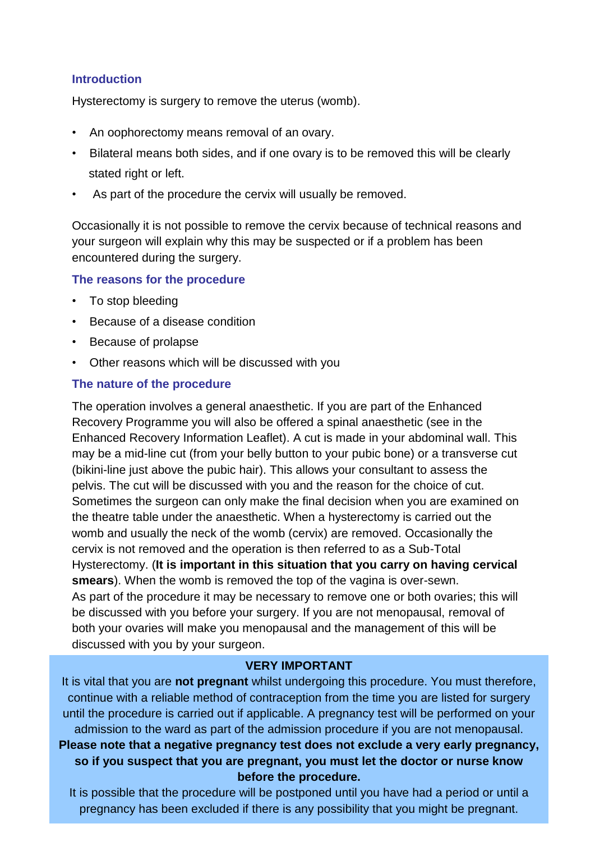## **Introduction**

Hysterectomy is surgery to remove the uterus (womb).

- An oophorectomy means removal of an ovary.
- Bilateral means both sides, and if one ovary is to be removed this will be clearly stated right or left.
- As part of the procedure the cervix will usually be removed.

Occasionally it is not possible to remove the cervix because of technical reasons and your surgeon will explain why this may be suspected or if a problem has been encountered during the surgery.

#### **The reasons for the procedure**

- To stop bleeding
- Because of a disease condition
- Because of prolapse
- Other reasons which will be discussed with you

## **The nature of the procedure**

The operation involves a general anaesthetic. If you are part of the Enhanced Recovery Programme you will also be offered a spinal anaesthetic (see in the Enhanced Recovery Information Leaflet). A cut is made in your abdominal wall. This may be a mid-line cut (from your belly button to your pubic bone) or a transverse cut (bikini-line just above the pubic hair). This allows your consultant to assess the pelvis. The cut will be discussed with you and the reason for the choice of cut. Sometimes the surgeon can only make the final decision when you are examined on the theatre table under the anaesthetic. When a hysterectomy is carried out the womb and usually the neck of the womb (cervix) are removed. Occasionally the cervix is not removed and the operation is then referred to as a Sub-Total Hysterectomy. (**It is important in this situation that you carry on having cervical smears**). When the womb is removed the top of the vagina is over-sewn. As part of the procedure it may be necessary to remove one or both ovaries; this will be discussed with you before your surgery. If you are not menopausal, removal of both your ovaries will make you menopausal and the management of this will be discussed with you by your surgeon.

# **VERY IMPORTANT**

It is vital that you are **not pregnant** whilst undergoing this procedure. You must therefore, continue with a reliable method of contraception from the time you are listed for surgery until the procedure is carried out if applicable. A pregnancy test will be performed on your admission to the ward as part of the admission procedure if you are not menopausal. **Please note that a negative pregnancy test does not exclude a very early pregnancy, so if you suspect that you are pregnant, you must let the doctor or nurse know before the procedure.**

It is possible that the procedure will be postponed until you have had a period or until a pregnancy has been excluded if there is any possibility that you might be pregnant.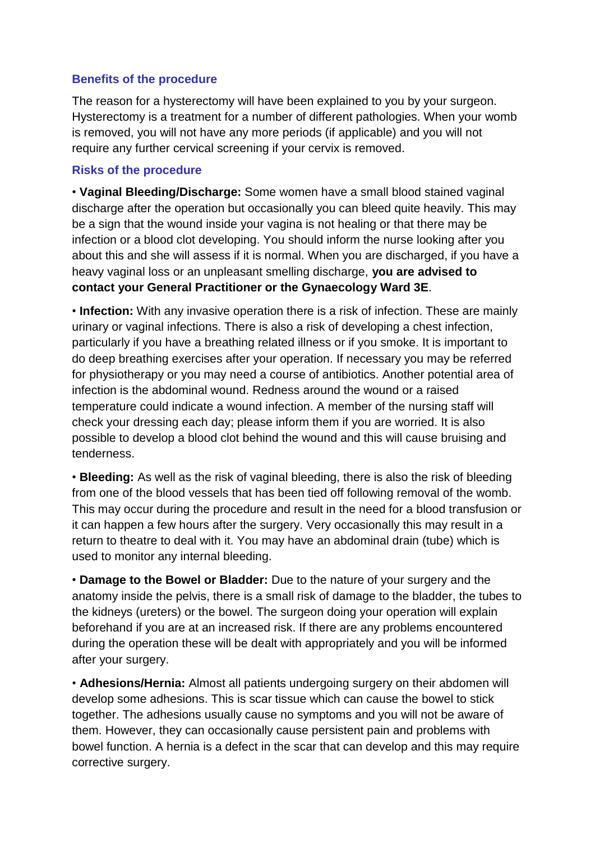# **Benefits of the procedure**

The reason for a hysterectomy will have been explained to you by your surgeon. Hysterectomy is a treatment for a number of different pathologies. When your womb is removed, you will not have any more periods (if applicable) and you will not require any further cervical screening if your cervix is removed.

## **Risks of the procedure**

• **Vaginal Bleeding/Discharge:** Some women have a small blood stained vaginal discharge after the operation but occasionally you can bleed quite heavily. This may be a sign that the wound inside your vagina is not healing or that there may be infection or a blood clot developing. You should inform the nurse looking after you about this and she will assess if it is normal. When you are discharged, if you have a heavy vaginal loss or an unpleasant smelling discharge, **you are advised to contact your General Practitioner or the Gynaecology Ward 3E**.

• **Infection:** With any invasive operation there is a risk of infection. These are mainly urinary or vaginal infections. There is also a risk of developing a chest infection, particularly if you have a breathing related illness or if you smoke. It is important to do deep breathing exercises after your operation. If necessary you may be referred for physiotherapy or you may need a course of antibiotics. Another potential area of infection is the abdominal wound. Redness around the wound or a raised temperature could indicate a wound infection. A member of the nursing staff will check your dressing each day; please inform them if you are worried. It is also possible to develop a blood clot behind the wound and this will cause bruising and tenderness.

• **Bleeding:** As well as the risk of vaginal bleeding, there is also the risk of bleeding from one of the blood vessels that has been tied off following removal of the womb. This may occur during the procedure and result in the need for a blood transfusion or it can happen a few hours after the surgery. Very occasionally this may result in a return to theatre to deal with it. You may have an abdominal drain (tube) which is used to monitor any internal bleeding.

• **Damage to the Bowel or Bladder:** Due to the nature of your surgery and the anatomy inside the pelvis, there is a small risk of damage to the bladder, the tubes to the kidneys (ureters) or the bowel. The surgeon doing your operation will explain beforehand if you are at an increased risk. If there are any problems encountered during the operation these will be dealt with appropriately and you will be informed after your surgery.

• **Adhesions/Hernia:** Almost all patients undergoing surgery on their abdomen will develop some adhesions. This is scar tissue which can cause the bowel to stick together. The adhesions usually cause no symptoms and you will not be aware of them. However, they can occasionally cause persistent pain and problems with bowel function. A hernia is a defect in the scar that can develop and this may require corrective surgery.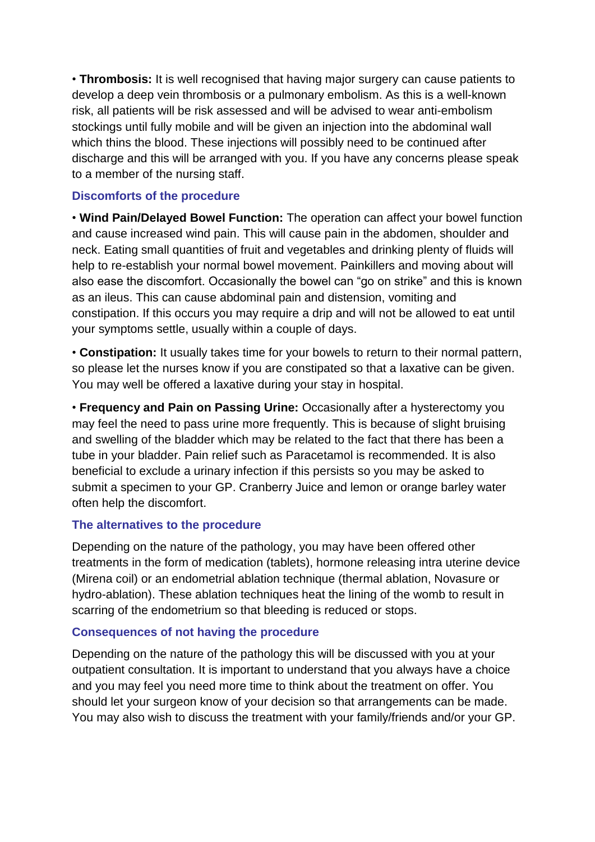• **Thrombosis:** It is well recognised that having major surgery can cause patients to develop a deep vein thrombosis or a pulmonary embolism. As this is a well-known risk, all patients will be risk assessed and will be advised to wear anti-embolism stockings until fully mobile and will be given an injection into the abdominal wall which thins the blood. These injections will possibly need to be continued after discharge and this will be arranged with you. If you have any concerns please speak to a member of the nursing staff.

## **Discomforts of the procedure**

• **Wind Pain/Delayed Bowel Function:** The operation can affect your bowel function and cause increased wind pain. This will cause pain in the abdomen, shoulder and neck. Eating small quantities of fruit and vegetables and drinking plenty of fluids will help to re-establish your normal bowel movement. Painkillers and moving about will also ease the discomfort. Occasionally the bowel can "go on strike" and this is known as an ileus. This can cause abdominal pain and distension, vomiting and constipation. If this occurs you may require a drip and will not be allowed to eat until your symptoms settle, usually within a couple of days.

• **Constipation:** It usually takes time for your bowels to return to their normal pattern, so please let the nurses know if you are constipated so that a laxative can be given. You may well be offered a laxative during your stay in hospital.

• **Frequency and Pain on Passing Urine:** Occasionally after a hysterectomy you may feel the need to pass urine more frequently. This is because of slight bruising and swelling of the bladder which may be related to the fact that there has been a tube in your bladder. Pain relief such as Paracetamol is recommended. It is also beneficial to exclude a urinary infection if this persists so you may be asked to submit a specimen to your GP. Cranberry Juice and lemon or orange barley water often help the discomfort.

# **The alternatives to the procedure**

Depending on the nature of the pathology, you may have been offered other treatments in the form of medication (tablets), hormone releasing intra uterine device (Mirena coil) or an endometrial ablation technique (thermal ablation, Novasure or hydro-ablation). These ablation techniques heat the lining of the womb to result in scarring of the endometrium so that bleeding is reduced or stops.

#### **Consequences of not having the procedure**

Depending on the nature of the pathology this will be discussed with you at your outpatient consultation. It is important to understand that you always have a choice and you may feel you need more time to think about the treatment on offer. You should let your surgeon know of your decision so that arrangements can be made. You may also wish to discuss the treatment with your family/friends and/or your GP.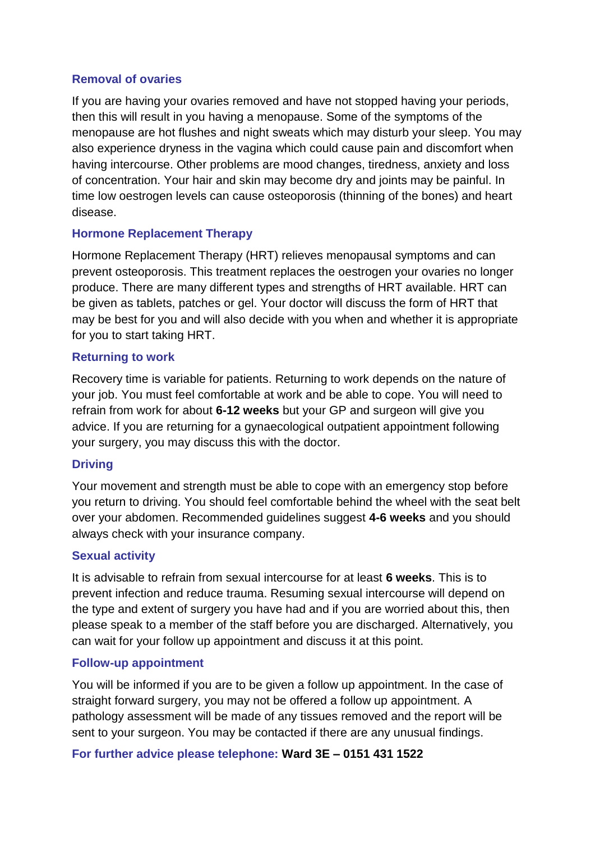## **Removal of ovaries**

If you are having your ovaries removed and have not stopped having your periods, then this will result in you having a menopause. Some of the symptoms of the menopause are hot flushes and night sweats which may disturb your sleep. You may also experience dryness in the vagina which could cause pain and discomfort when having intercourse. Other problems are mood changes, tiredness, anxiety and loss of concentration. Your hair and skin may become dry and joints may be painful. In time low oestrogen levels can cause osteoporosis (thinning of the bones) and heart disease.

## **Hormone Replacement Therapy**

Hormone Replacement Therapy (HRT) relieves menopausal symptoms and can prevent osteoporosis. This treatment replaces the oestrogen your ovaries no longer produce. There are many different types and strengths of HRT available. HRT can be given as tablets, patches or gel. Your doctor will discuss the form of HRT that may be best for you and will also decide with you when and whether it is appropriate for you to start taking HRT.

## **Returning to work**

Recovery time is variable for patients. Returning to work depends on the nature of your job. You must feel comfortable at work and be able to cope. You will need to refrain from work for about **6-12 weeks** but your GP and surgeon will give you advice. If you are returning for a gynaecological outpatient appointment following your surgery, you may discuss this with the doctor.

# **Driving**

Your movement and strength must be able to cope with an emergency stop before you return to driving. You should feel comfortable behind the wheel with the seat belt over your abdomen. Recommended guidelines suggest **4-6 weeks** and you should always check with your insurance company.

#### **Sexual activity**

It is advisable to refrain from sexual intercourse for at least **6 weeks**. This is to prevent infection and reduce trauma. Resuming sexual intercourse will depend on the type and extent of surgery you have had and if you are worried about this, then please speak to a member of the staff before you are discharged. Alternatively, you can wait for your follow up appointment and discuss it at this point.

#### **Follow-up appointment**

You will be informed if you are to be given a follow up appointment. In the case of straight forward surgery, you may not be offered a follow up appointment. A pathology assessment will be made of any tissues removed and the report will be sent to your surgeon. You may be contacted if there are any unusual findings.

# **For further advice please telephone: Ward 3E – 0151 431 1522**